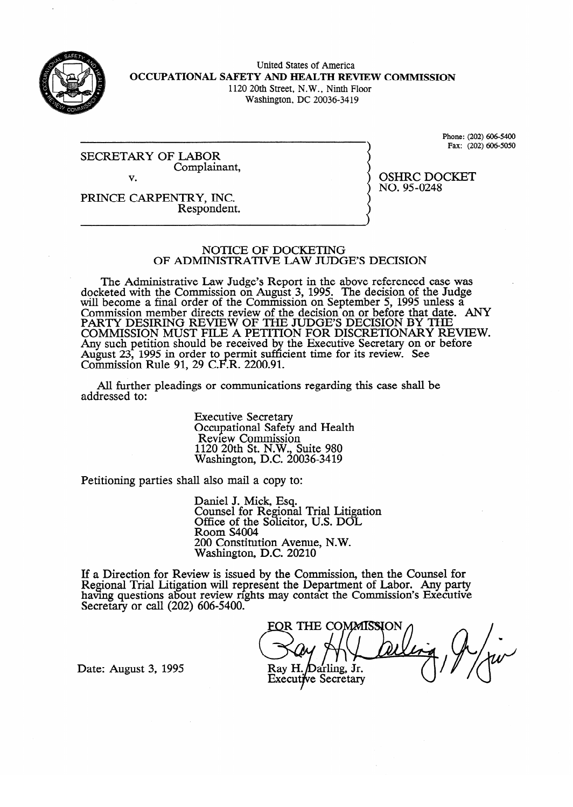

United States of America **OCCUPATIONAL SAFETY AND HEALTH REVIEW COMMISSION**  1120 20th Street, N.W., Ninth Floor

Washington, DC 20036-34 19

SECRETARY **OF LABOR**  Complainant, v.

Phone: (202) 606-5400<br>Fax: (202) 606-5050  $\cdot$  (202)  $\cdot$ 

**PRESPONDENT**  $\mathcal{L}$ 

#### NOTICE OF DOCKETING OF ADMINISTRATIVE LAW JUDGE'S DECISION

The Administrative Law Judge's Report in the above referenced case was  $\epsilon$  and with the Commission on August 3, 1995. The decision of the Judge's reference of the above references was appeared case was a second case was a second case was a second case was a second case was a second case was will become a final order of the Commission on September 5, 1995 unless a Commission member directs review of the decision on or before that date. PARTY DESIRING REVIEW OF THE JUDGE'S DECISION BY THE<br>COMMISSION MUST FILE A DETITION FOR DISCRETIONARY REVIEW COMMISSION MUST FILE A PETITION FOR DISCRETIONARY RE Any such petition should be received by the Executive Secretary on or before<br>Awout 22, 1005 in order to permit sufficient time for its review. See August 23, 1995 in order to permit sufficient time for its review. See<br>Commission Pula 01, 20 C E P, 2200.01 Commission Rule 91, 29 C.F.R.  $2200.91$ . l cient time for its review. See the form of the see that  $\alpha$ 

All further pleadings or communication  $A$ ll  $C$ s or communications regarding the pleading this case shall be shall be shall be shall be shall be shall be shall be shall be shall be shall be shall be shall be shall be shall be shall be shall be shall be shall

> **Executive Secretary** Secupational Safety<br>Review Commissio  $1120$  20th St. N.W., Suite 980  $N$ ashington, D.C. 200 1120 20th St. N.W., Suite 980

Petitioning parties shall also mail a copy to:

Daniel J. Mick, Esq.<br>Counsel for Regional Trial Litigation Office of the Solicitor, U.S. DOL Room S4004 200 Constitution Avenue, N.W. Washington, D.C. 20210

 $\overline{a}$  constitution  $\overline{a}$  $\text{few}$  is issued by the Com having questions about review rights may contact the Commission's Executive Secretary or call (202) 606-5400.

FOR THE COMMISSION Ray H. Darling, Jr. Executive Secretary

Date: August 3, 1995

OSHRC DOCKET<br>NO. 95-0248  $\frac{1}{2}$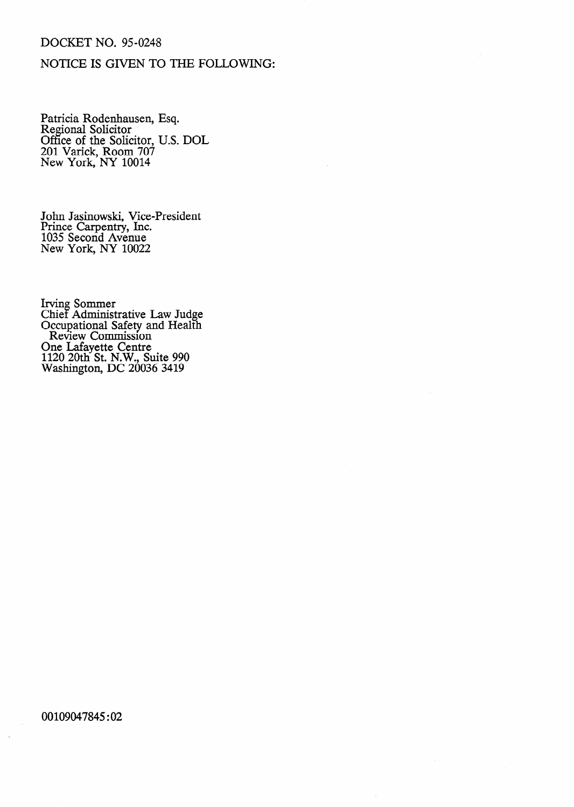### DOCKET NO. 95-0248

## NOTICE IS GIVEN TO THE FOLLOWING:

Patricia Rodenhausen, Regional Solicitor Office of the Solicitor, 201 Varick, Room 707 New York, NY 10014 Esq. U.S. DOL

John Jasinowski, Vice-President Prince Carpentry, Inc. 1035 Second Avenue New York, NY 10022

Irving Sommer Chief Administrative Law Judge Occupational Safety and Health Review Commission One Lafayette Centre 1120 20th St. N.W., Suite 990 Washington, DC 20036 3419

#### 00109047845 :02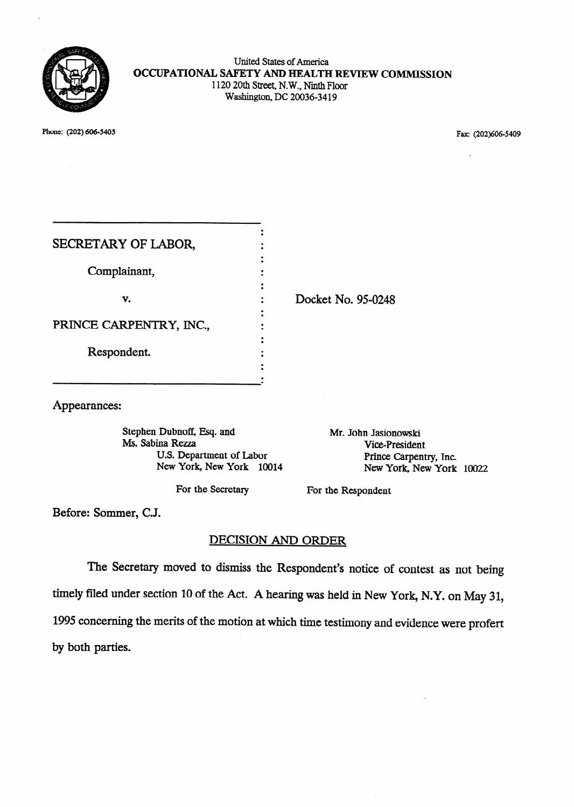

United States of America **OCCUPATIONAL SAFETY AND HEALTH REVIEW COMMISSION**  1120 20th Street, N. W., Ninth Floor Washington, DC 20036-3419

Phone: (202) 606-5405 Fax: (202)606-5409

| SECRETARY OF LABOR,     |  |
|-------------------------|--|
|                         |  |
| Complainant,            |  |
|                         |  |
| v.                      |  |
|                         |  |
| PRINCE CARPENTRY, INC., |  |
| Respondent.             |  |
|                         |  |
|                         |  |
|                         |  |

Docket No. 95-0248

Appearances:

Stephen Dubnoff, Esq. and Ms. Sabina Rezza U.S. Department of Labor New York, New York 10014

Mr. John Jasionowski Vice-President Prince Carpentry, Inc.<br>New York. New York 10022

For the Secretary For the Respondent

Before: Sommer, C.J.

# DECISION AND ORDER

The Secretary moved to dismiss the Respondent's notice of contest as not being timely filed under section 10 of the Act. A hearing was held in New York, N.Y. on May 31, 1995 concerning the merits of the motion at which time testimony and evidence were profert by both parties.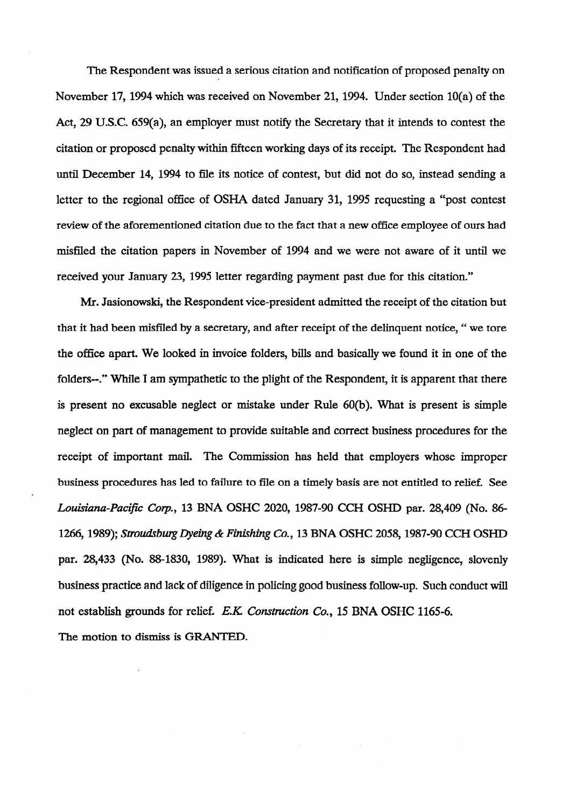The Respondent was issued a serious citation and notification of proposed penalty on November 17, 1994 which was received on November 21, 1994. Under section 10(a) of the Act, 29 U.S.C. 659(a), an employer must notify the Secretary that it intends to **contest** the citation or proposed penalty within fifteen working days of its receipt. The Respondent had until December 14, 1994 to file its notice of contest, but did not do so, instead sending a letter to the regional office of  $\mathcal{S}_1$  ,  $\mathcal{S}_2$  ,  $\mathcal{S}_3$  ,  $\mathcal{S}_4$  and  $\mathcal{S}_5$  are positive and  $\mathcal{S}_4$ review of the aforementioned citation due to the fact that a new office employee of ours had review of the aforementioned citation due to the fact that a new office employee of ours had misfiled the citation papers in November of 1994 and we were not aware of it until we received your January 23, 1995 letter regarding payment past due for this citation."

Mr. Jasionowski, the Respondent vice-president admitted the receipt of the citation but that it had been misfiled by a secretary, and after receipt of the delinquent notice, " we tore the office apart. We looked in involving a part. We followed in the state following it in one of the one of the is present no excusable neglect or mistake under Rule 60(b). What is present is simple neglect on part of management to provide suitable and correct business procedures for the receipt of important mail. The Commission has held that employers whose improper business procedures has led to failure to file on a timely basis are not entitled to relief. See Louisiana-Pacific Corp., 13 BNA OSHC 2020, 1987-90 CCH OSHD par. 28,409 (No. 86-1266, 1989); *Stroudsburg Dyeing & Finishing Co.*, 13 BNA OSHC 2058, 1987-90 CCH OSHD par. 28,433 (No. 88-1830, 1989). What is indicated here is simple negligence, slovenly business practice and lack of diligence in policing good business follow-up. Such conduct will not establish grounds for relief. E.K. Construction Co., 15 BNA OSHC 1165-6. The motion to dismiss is GRANTED.